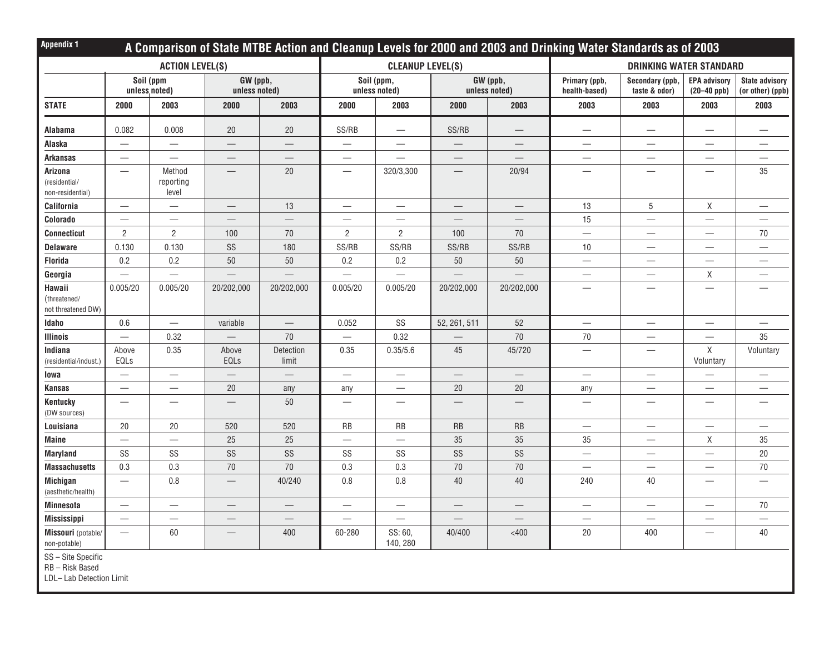| <b>Appendix 1</b>                            | A Comparison of State MTBE Action and Cleanup Levels for 2000 and 2003 and Drinking Water Standards as of 2003 |                              |                           |                          |                                   |                          |                           |                          |                                  |                                  |                                        |                                           |  |
|----------------------------------------------|----------------------------------------------------------------------------------------------------------------|------------------------------|---------------------------|--------------------------|-----------------------------------|--------------------------|---------------------------|--------------------------|----------------------------------|----------------------------------|----------------------------------------|-------------------------------------------|--|
|                                              | <b>ACTION LEVEL(S)</b>                                                                                         |                              |                           |                          |                                   | <b>CLEANUP LEVEL(S)</b>  |                           |                          | <b>DRINKING WATER STANDARD</b>   |                                  |                                        |                                           |  |
|                                              | Soil (ppm<br>unless noted)                                                                                     |                              | GW (ppb,<br>unless noted) |                          | Soil (ppm,<br>unless noted)       |                          | GW (ppb,<br>unless noted) |                          | Primary (ppb,<br>health-based)   | Secondary (ppb,<br>taste & odor) | <b>EPA advisory</b><br>$(20 - 40$ ppb) | <b>State advisory</b><br>(or other) (ppb) |  |
| <b>STATE</b>                                 | 2000                                                                                                           | 2003                         | 2000                      | 2003                     | 2000                              | 2003                     | 2000                      | 2003                     | 2003                             | 2003                             | 2003                                   | 2003                                      |  |
| Alabama                                      | 0.082                                                                                                          | 0.008                        | 20                        | $20\,$                   | SS/RB                             | $\overline{\phantom{m}}$ | SS/RB                     | $\overline{\phantom{m}}$ |                                  | $\overline{\phantom{m}}$         | $\qquad \qquad -$                      | $\qquad \qquad -$                         |  |
| Alaska                                       |                                                                                                                |                              |                           |                          | $\overline{\phantom{0}}$          | $\overline{\phantom{m}}$ |                           |                          | $\overline{\phantom{m}}$         | $\overline{\phantom{m}}$         | $\overline{\phantom{m}}$               |                                           |  |
| <b>Arkansas</b>                              | $\overline{\phantom{0}}$                                                                                       |                              | $\overline{\phantom{0}}$  |                          | $\overline{\phantom{0}}$          |                          | $\overline{\phantom{m}}$  |                          |                                  | $\overline{\phantom{0}}$         | $\qquad \qquad -$                      | $\qquad \qquad -$                         |  |
| Arizona<br>(residential/<br>non-residential) | $\overline{\phantom{0}}$                                                                                       | Method<br>reporting<br>level | $\overline{\phantom{0}}$  | 20                       |                                   | 320/3,300                |                           | 20/94                    | $\overline{\phantom{0}}$         | $\overbrace{\phantom{12322111}}$ |                                        | 35                                        |  |
| California                                   | $\overline{\phantom{0}}$                                                                                       |                              |                           | 13                       | $\overbrace{\phantom{123221111}}$ | $\overline{\phantom{m}}$ | $\overline{\phantom{m}}$  |                          | 13                               | $\sqrt{5}$                       | X                                      | $\qquad \qquad -$                         |  |
| Colorado                                     |                                                                                                                | $\overline{\phantom{0}}$     |                           |                          | $\overline{\phantom{0}}$          |                          |                           |                          | 15                               |                                  |                                        |                                           |  |
| <b>Connecticut</b>                           | $\overline{2}$                                                                                                 | $\overline{2}$               | 100                       | $70\,$                   | $\overline{2}$                    | $\overline{2}$           | 100                       | 70                       | $\overline{\phantom{0}}$         | $\overbrace{\phantom{12322111}}$ |                                        | 70                                        |  |
| <b>Delaware</b>                              | 0.130                                                                                                          | 0.130                        | SS                        | 180                      | SS/RB                             | SS/RB                    | SS/RB                     | SS/RB                    | 10                               | $\overline{\phantom{m}}$         |                                        | $\qquad \qquad -$                         |  |
| <b>Florida</b>                               | 0.2                                                                                                            | 0.2                          | 50                        | 50                       | 0.2                               | 0.2                      | 50                        | 50                       | $\overline{\phantom{0}}$         |                                  | $\overline{\phantom{0}}$               |                                           |  |
| Georgia                                      |                                                                                                                | $\overline{\phantom{0}}$     |                           |                          | $\overline{\phantom{0}}$          |                          |                           |                          |                                  | $\overbrace{\phantom{12322111}}$ | X                                      | $\qquad \qquad -$                         |  |
| Hawaii<br>(threatened/<br>not threatened DW) | 0.005/20                                                                                                       | 0.005/20                     | 20/202,000                | 20/202,000               | 0.005/20                          | 0.005/20                 | 20/202,000                | 20/202,000               | $\overline{\phantom{0}}$         |                                  | $\overline{\phantom{0}}$               |                                           |  |
| Idaho                                        | 0.6                                                                                                            |                              | variable                  | $\overline{\phantom{m}}$ | 0.052                             | SS                       | 52, 261, 511              | 52                       | $\overline{\phantom{m}}$         | $\overline{\phantom{m}}$         | $\overline{\phantom{m}}$               | $\overbrace{\phantom{12333}}$             |  |
| <b>Illinois</b>                              |                                                                                                                | 0.32                         |                           | 70                       | $\overbrace{\phantom{123221111}}$ | 0.32                     |                           | $70\,$                   | 70                               | $\overline{\phantom{m}}$         |                                        | 35                                        |  |
| Indiana<br>(residential/indust.)             | Above<br>EQLs                                                                                                  | 0.35                         | Above<br>EQLs             | Detection<br>limit       | 0.35                              | 0.35/5.6                 | 45                        | 45/720                   | $\overbrace{\phantom{12322111}}$ |                                  | $\mathsf X$<br>Voluntary               | Voluntary                                 |  |
| lowa                                         |                                                                                                                |                              |                           |                          | $\overline{\phantom{0}}$          | $\overline{\phantom{m}}$ |                           | $\overline{\phantom{m}}$ |                                  |                                  | $\overline{\phantom{0}}$               | $\qquad \qquad -$                         |  |
| <b>Kansas</b>                                |                                                                                                                |                              | 20                        | any                      | any                               | $\overline{\phantom{m}}$ | 20                        | 20                       | any                              |                                  |                                        | $\overbrace{\phantom{123221111}}$         |  |
| Kentucky<br>(DW sources)                     |                                                                                                                | $\overline{\phantom{0}}$     |                           | 50                       |                                   |                          |                           |                          | $\overline{\phantom{0}}$         |                                  | $\overline{\phantom{0}}$               |                                           |  |
| Louisiana                                    | 20                                                                                                             | 20                           | 520                       | 520                      | RB                                | <b>RB</b>                | <b>RB</b>                 | <b>RB</b>                |                                  | $\overbrace{\phantom{12322111}}$ |                                        |                                           |  |
| <b>Maine</b>                                 |                                                                                                                |                              | 25                        | 25                       |                                   |                          | 35                        | 35                       | 35                               | $\overbrace{\phantom{12322111}}$ | X                                      | 35                                        |  |
| <b>Maryland</b>                              | SS                                                                                                             | SS                           | SS                        | SS                       | SS                                | SS                       | SS                        | SS                       |                                  | $\overbrace{\phantom{12322111}}$ | $\overline{\phantom{0}}$               | $20\,$                                    |  |
| <b>Massachusetts</b>                         | 0.3                                                                                                            | 0.3                          | $70\,$                    | $70\,$                   | 0.3                               | 0.3                      | $70\,$                    | $70\,$                   |                                  | $\overbrace{\phantom{12322111}}$ |                                        | $70\,$                                    |  |
| <b>Michigan</b><br>(aesthetic/health)        | $\overline{\phantom{0}}$                                                                                       | 0.8                          |                           | 40/240                   | 0.8                               | 0.8                      | $40\,$                    | 40                       | 240                              | 40                               | $\overline{\phantom{0}}$               | $\overline{\phantom{0}}$                  |  |
| <b>Minnesota</b>                             | $\overline{\phantom{0}}$                                                                                       | $\overline{\phantom{0}}$     | $\overline{\phantom{0}}$  |                          | $\overline{\phantom{0}}$          | $\qquad \qquad -$        |                           |                          |                                  |                                  | $\overline{\phantom{0}}$               | 70                                        |  |
| <b>Mississippi</b>                           |                                                                                                                | $\overline{\phantom{0}}$     |                           |                          |                                   | $\overline{\phantom{m}}$ |                           |                          | $\overline{\phantom{0}}$         |                                  | $\overline{\phantom{0}}$               |                                           |  |
| Missouri (potable/<br>non-potable)           | $\overline{\phantom{0}}$                                                                                       | 60                           | $\overline{\phantom{0}}$  | 400                      | 60-280                            | SS: 60,<br>140, 280      | 40/400                    | $<$ 400                  | 20                               | 400                              |                                        | 40                                        |  |
| SS - Site Specific<br>RB-Risk Based          |                                                                                                                |                              |                           |                          |                                   |                          |                           |                          |                                  |                                  |                                        |                                           |  |

LDL– Lab Detection Limit